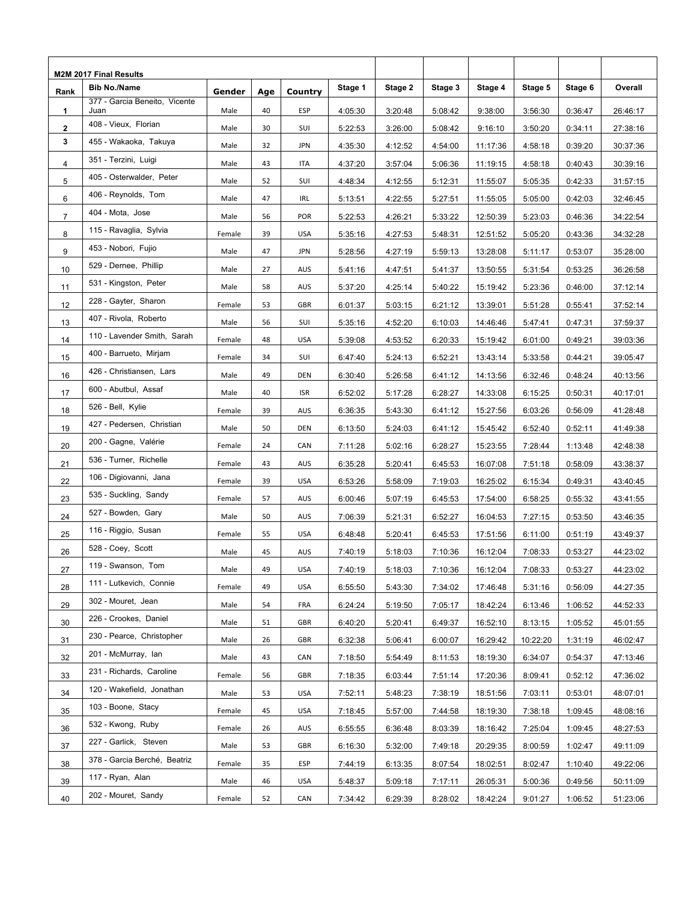| M2M 2017 Final Results |                                       |        |     |            |         |         |         |          |          |         |          |
|------------------------|---------------------------------------|--------|-----|------------|---------|---------|---------|----------|----------|---------|----------|
| Rank                   | <b>Bib No./Name</b>                   | Gender | Age | Country    | Stage 1 | Stage 2 | Stage 3 | Stage 4  | Stage 5  | Stage 6 | Overall  |
| 1                      | 377 - Garcia Beneito, Vicente<br>Juan | Male   | 40  | ESP        | 4:05:30 | 3:20:48 | 5:08:42 | 9:38:00  | 3:56:30  | 0:36:47 | 26:46:17 |
| $\mathbf{2}$           | 408 - Vieux, Florian                  | Male   | 30  | SUI        | 5:22:53 | 3:26:00 | 5:08:42 | 9:16:10  | 3:50:20  | 0:34:11 | 27:38:16 |
| 3                      | 455 - Wakaoka, Takuya                 | Male   | 32  | <b>JPN</b> | 4:35:30 | 4:12:52 | 4:54:00 | 11:17:36 | 4:58:18  | 0:39:20 | 30:37:36 |
| 4                      | 351 - Terzini, Luigi                  | Male   | 43  | ITA        | 4:37:20 | 3:57:04 | 5:06:36 | 11:19:15 | 4:58:18  | 0:40:43 | 30:39:16 |
| 5                      | 405 - Osterwalder, Peter              | Male   | 52  | SUI        | 4:48:34 | 4:12:55 | 5:12:31 | 11:55:07 | 5:05:35  | 0:42:33 | 31:57:15 |
| 6                      | 406 - Reynolds, Tom                   | Male   | 47  | <b>IRL</b> | 5:13:51 | 4:22:55 | 5:27:51 | 11:55:05 | 5:05:00  | 0:42:03 | 32:46:45 |
| $\overline{7}$         | 404 - Mota, Jose                      | Male   | 56  | POR        | 5:22:53 | 4:26:21 | 5:33:22 | 12:50:39 | 5:23:03  | 0:46:36 | 34:22:54 |
| 8                      | 115 - Ravaglia, Sylvia                | Female | 39  | <b>USA</b> | 5:35:16 | 4:27:53 | 5:48:31 | 12:51:52 | 5:05:20  | 0:43:36 | 34:32:28 |
| 9                      | 453 - Nobori, Fujio                   | Male   | 47  | <b>JPN</b> | 5:28:56 | 4:27:19 | 5:59:13 | 13:28:08 | 5:11:17  | 0:53:07 | 35:28:00 |
| 10                     | 529 - Dernee, Phillip                 | Male   | 27  | AUS        | 5:41:16 | 4:47:51 | 5:41:37 | 13:50:55 | 5:31:54  | 0:53:25 | 36:26:58 |
| 11                     | 531 - Kingston, Peter                 | Male   | 58  | AUS        | 5:37:20 | 4:25:14 | 5:40:22 | 15:19:42 | 5:23:36  | 0:46:00 | 37:12:14 |
| 12                     | 228 - Gayter, Sharon                  | Female | 53  | <b>GBR</b> | 6:01:37 | 5:03:15 | 6:21:12 | 13:39:01 | 5:51:28  | 0:55:41 | 37:52:14 |
| 13                     | 407 - Rivola, Roberto                 | Male   | 56  | SUI        | 5:35:16 | 4:52:20 | 6:10:03 | 14:46:46 | 5:47:41  | 0:47:31 | 37:59:37 |
| 14                     | 110 - Lavender Smith, Sarah           | Female | 48  | <b>USA</b> | 5:39:08 | 4:53:52 | 6:20:33 | 15:19:42 | 6:01:00  | 0:49:21 | 39:03:36 |
| 15                     | 400 - Barrueto, Mirjam                | Female | 34  | SUI        | 6:47:40 | 5:24:13 | 6:52:21 | 13:43:14 | 5:33:58  | 0:44:21 | 39:05:47 |
| 16                     | 426 - Christiansen, Lars              | Male   | 49  | <b>DEN</b> | 6:30:40 | 5:26:58 | 6:41:12 | 14:13:56 | 6:32:46  | 0:48:24 | 40:13:56 |
| 17                     | 600 - Abutbul, Assaf                  | Male   | 40  | <b>ISR</b> | 6:52:02 | 5:17:28 | 6:28:27 | 14:33:08 | 6:15:25  | 0:50:31 | 40:17:01 |
| 18                     | 526 - Bell, Kylie                     | Female | 39  | <b>AUS</b> | 6:36:35 | 5:43:30 | 6:41:12 | 15:27:56 | 6:03:26  | 0:56:09 | 41:28:48 |
| 19                     | 427 - Pedersen, Christian             | Male   | 50  | <b>DEN</b> | 6:13:50 | 5:24:03 | 6:41:12 | 15:45:42 | 6:52:40  | 0:52:11 | 41:49:38 |
| 20                     | 200 - Gagne, Valérie                  | Female | 24  | CAN        | 7:11:28 | 5:02:16 | 6:28:27 | 15:23:55 | 7:28:44  | 1:13:48 | 42:48:38 |
| 21                     | 536 - Turner, Richelle                | Female | 43  | AUS        | 6:35:28 | 5:20:41 | 6:45:53 | 16:07:08 | 7:51:18  | 0:58:09 | 43:38:37 |
| 22                     | 106 - Digiovanni, Jana                | Female | 39  | <b>USA</b> | 6:53:26 | 5:58:09 | 7:19:03 | 16:25:02 | 6:15:34  | 0:49:31 | 43:40:45 |
| 23                     | 535 - Suckling, Sandy                 | Female | 57  | <b>AUS</b> | 6:00:46 | 5:07:19 | 6:45:53 | 17:54:00 | 6:58:25  | 0:55:32 | 43:41:55 |
| 24                     | 527 - Bowden, Gary                    | Male   | 50  | AUS        | 7:06:39 | 5:21:31 | 6:52:27 | 16:04:53 | 7:27:15  | 0:53:50 | 43:46:35 |
| 25                     | 116 - Riggio, Susan                   | Female | 55  | <b>USA</b> | 6:48:48 | 5:20:41 | 6:45:53 | 17:51:56 | 6:11:00  | 0:51:19 | 43:49:37 |
| 26                     | 528 - Coey, Scott                     | Male   | 45  | AUS        | 7:40:19 | 5:18:03 | 7:10:36 | 16:12:04 | 7:08:33  | 0:53:27 | 44:23:02 |
| 27                     | 119 - Swanson, Tom                    | Male   | 49  | USA        | 7:40:19 | 5:18:03 | 7:10:36 | 16:12:04 | 7:08:33  | 0:53:27 | 44:23:02 |
| 28                     | 111 - Lutkevich, Connie               | Female | 49  | <b>USA</b> | 6:55:50 | 5:43:30 | 7:34:02 | 17:46:48 | 5:31:16  | 0:56:09 | 44:27:35 |
| 29                     | 302 - Mouret, Jean                    | Male   | 54  | FRA        | 6:24:24 | 5:19:50 | 7:05:17 | 18:42:24 | 6:13:46  | 1:06:52 | 44:52:33 |
| 30                     | 226 - Crookes, Daniel                 | Male   | 51  | GBR        | 6:40:20 | 5:20:41 | 6:49:37 | 16:52:10 | 8:13:15  | 1:05:52 | 45:01:55 |
| 31                     | 230 - Pearce, Christopher             | Male   | 26  | GBR        | 6:32:38 | 5:06:41 | 6:00:07 | 16:29:42 | 10:22:20 | 1:31:19 | 46:02:47 |
| 32                     | 201 - McMurray, Ian                   | Male   | 43  | CAN        | 7:18:50 | 5:54:49 | 8:11:53 | 18:19:30 | 6:34:07  | 0:54:37 | 47:13:46 |
| 33                     | 231 - Richards, Caroline              | Female | 56  | GBR        | 7:18:35 | 6:03:44 | 7:51:14 | 17:20:36 | 8:09:41  | 0:52:12 | 47:36:02 |
| 34                     | 120 - Wakefield, Jonathan             | Male   | 53  | <b>USA</b> | 7:52:11 | 5:48:23 | 7:38:19 | 18:51:56 | 7:03:11  | 0:53:01 | 48:07:01 |
| 35                     | 103 - Boone, Stacy                    | Female | 45  | USA        | 7:18:45 | 5:57:00 | 7:44:58 | 18:19:30 | 7:38:18  | 1:09:45 | 48:08:16 |
| 36                     | 532 - Kwong, Ruby                     | Female | 26  | AUS        | 6:55:55 | 6:36:48 | 8:03:39 | 18:16:42 | 7:25:04  | 1:09:45 | 48:27:53 |
| 37                     | 227 - Garlick, Steven                 | Male   | 53  | GBR        | 6:16:30 | 5:32:00 | 7:49:18 | 20:29:35 | 8:00:59  | 1:02:47 | 49:11:09 |
| 38                     | 378 - Garcia Berché, Beatriz          | Female | 35  | ESP        | 7:44:19 | 6:13:35 | 8:07:54 | 18:02:51 | 8:02:47  | 1:10:40 | 49:22:06 |
| 39                     | 117 - Ryan, Alan                      | Male   | 46  | USA        | 5:48:37 | 5:09:18 | 7:17:11 | 26:05:31 | 5:00:36  | 0:49:56 | 50:11:09 |
| 40                     | 202 - Mouret, Sandy                   | Female | 52  | CAN        | 7:34:42 | 6:29:39 | 8:28:02 | 18:42:24 | 9:01:27  | 1:06:52 | 51:23:06 |